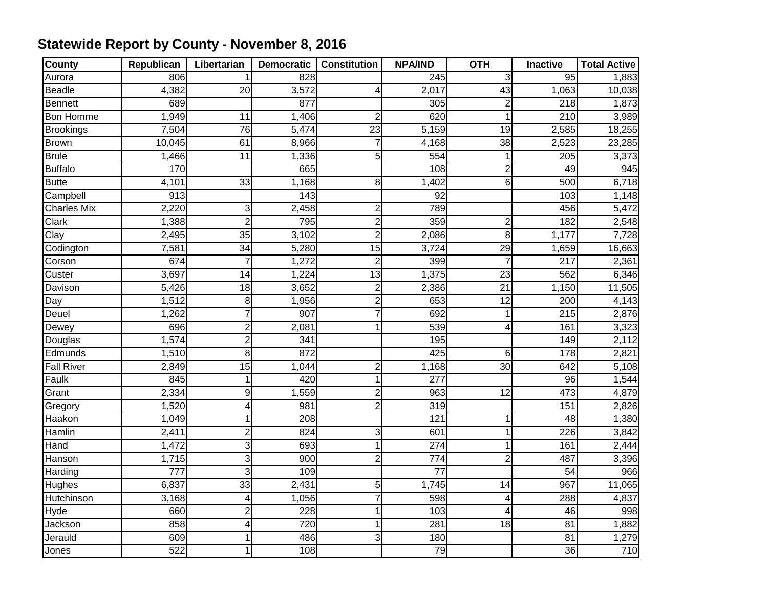## **Statewide Report by County - November 8, 2016**

| <b>County</b>      | Republican       | Libertarian             | <b>Democratic</b> | <b>Constitution</b>     | <b>NPA/IND</b>   | <b>OTH</b>               | <b>Inactive</b>  | <b>Total Active</b> |
|--------------------|------------------|-------------------------|-------------------|-------------------------|------------------|--------------------------|------------------|---------------------|
| Aurora             | 806              |                         | 828               |                         | 245              | 3                        | $\overline{95}$  | 1,883               |
| <b>Beadle</b>      | 4,382            | $\overline{20}$         | 3,572             | 4                       | 2,017            | 43                       | 1,063            | 10,038              |
| Bennett            | 689              |                         | 877               |                         | 305              | $\overline{2}$           | $\overline{218}$ | 1,873               |
| <b>Bon Homme</b>   | 1,949            | 11                      | 1,406             | $\overline{2}$          | 620              | $\mathbf{1}$             | 210              | 3,989               |
| <b>Brookings</b>   | 7,504            | $\overline{76}$         | 5,474             | $\overline{23}$         | 5,159            | 19                       | 2,585            | 18,255              |
| <b>Brown</b>       | 10,045           | 61                      | 8,966             | $\overline{7}$          | 4,168            | 38                       | 2,523            | 23,285              |
| <b>Brule</b>       | 1,466            | 11                      | 1,336             | $\overline{5}$          | $\overline{554}$ | $\mathbf{1}$             | 205              | 3,373               |
| <b>Buffalo</b>     | 170              |                         | 665               |                         | 108              | $\overline{2}$           | 49               | 945                 |
| <b>Butte</b>       | 4,101            | 33                      | 1,168             | 8 <sup>1</sup>          | 1,402            | $\sigma$                 | 500              | 6,718               |
| Campbell           | 913              |                         | 143               |                         | 92               |                          | 103              | 1,148               |
| <b>Charles Mix</b> | 2,220            | 3                       | 2,458             | $\overline{\mathbf{c}}$ | 789              |                          | 456              | 5,472               |
| Clark              | 1,388            | $\overline{2}$          | 795               | $\overline{2}$          | 359              | $\overline{2}$           | 182              | 2,548               |
| Clay               | 2,495            | 35                      | 3,102             | $\overline{2}$          | 2,086            | $\infty$                 | 1,177            | 7,728               |
| Codington          | 7,581            | $\overline{34}$         | 5,280             | 15                      | 3,724            | $\overline{29}$          | 1,659            | 16,663              |
| Corson             | 674              | $\overline{7}$          | 1,272             | $\overline{2}$          | 399              | $\overline{7}$           | $\overline{217}$ | 2,361               |
| Custer             | 3,697            | 14                      | 1,224             | 13                      | 1,375            | 23                       | 562              | 6,346               |
| Davison            | 5,426            | 18                      | 3,652             | $\overline{2}$          | 2,386            | $\overline{21}$          | 1,150            | 11,505              |
| Day                | 1,512            | 8                       | 1,956             | $\overline{2}$          | 653              | 12                       | 200              | 4,143               |
| Deuel              | 1,262            | $\overline{7}$          | $\overline{907}$  | $\overline{7}$          | 692              | $\mathbf{1}$             | $\overline{215}$ | 2,876               |
| Dewey              | 696              | $\overline{2}$          | 2,081             | $\mathbf{1}$            | 539              | $\overline{\mathcal{L}}$ | 161              | 3,323               |
| Douglas            | 1,574            | $\overline{2}$          | 341               |                         | 195              |                          | 149              | 2,112               |
| Edmunds            | 1,510            | 8                       | 872               |                         | 425              | $6 \overline{6}$         | 178              | 2,821               |
| <b>Fall River</b>  | 2,849            | 15                      | 1,044             | $\overline{c}$          | 1,168            | 30                       | 642              | 5,108               |
| Faulk              | 845              | $\mathbf{1}$            | 420               | $\overline{1}$          | 277              |                          | 96               | 1,544               |
| Grant              | 2,334            | 9                       | 1,559             | $\overline{2}$          | 963              | 12                       | 473              | 4,879               |
| Gregory            | 1,520            | $\overline{\mathbf{4}}$ | 981               | $\overline{2}$          | $\overline{319}$ |                          | 151              | 2,826               |
| Haakon             | 1,049            | $\mathbf{1}$            | 208               |                         | 121              | $\mathbf{1}$             | 48               | 1,380               |
| Hamlin             | 2,411            | $\overline{2}$          | 824               | $\overline{\mathbf{3}}$ | 601              | $\mathbf{1}$             | 226              | 3,842               |
| Hand               | 1,472            | 3                       | 693               | $\mathbf{1}$            | 274              | 1                        | 161              | 2,444               |
| Hanson             | 1,715            | 3                       | 900               | $\overline{2}$          | $\overline{774}$ | $\overline{2}$           | 487              | 3,396               |
| Harding            | $\overline{777}$ | دى                      | 109               |                         | $\overline{77}$  |                          | 54               | 966                 |
| Hughes             | 6,837            | 33                      | 2,431             | 5                       | 1,745            | 14                       | 967              | 11,065              |
| <b>Hutchinson</b>  | 3,168            | $\overline{\mathbf{A}}$ | 1,056             | 7                       | 598              | 4                        | 288              | 4,837               |
| Hyde               | 660              | $\overline{2}$          | 228               | $\mathbf{1}$            | 103              | $\overline{4}$           | 46               | 998                 |
| Jackson            | 858              | $\overline{4}$          | 720               | $\mathbf{1}$            | 281              | 18                       | 81               | 1,882               |
| Jerauld            | 609              | 1                       | 486               | 3                       | 180              |                          | 81               | 1,279               |
| Jones              | 522              | 1                       | 108               |                         | 79               |                          | $\overline{36}$  | 710                 |